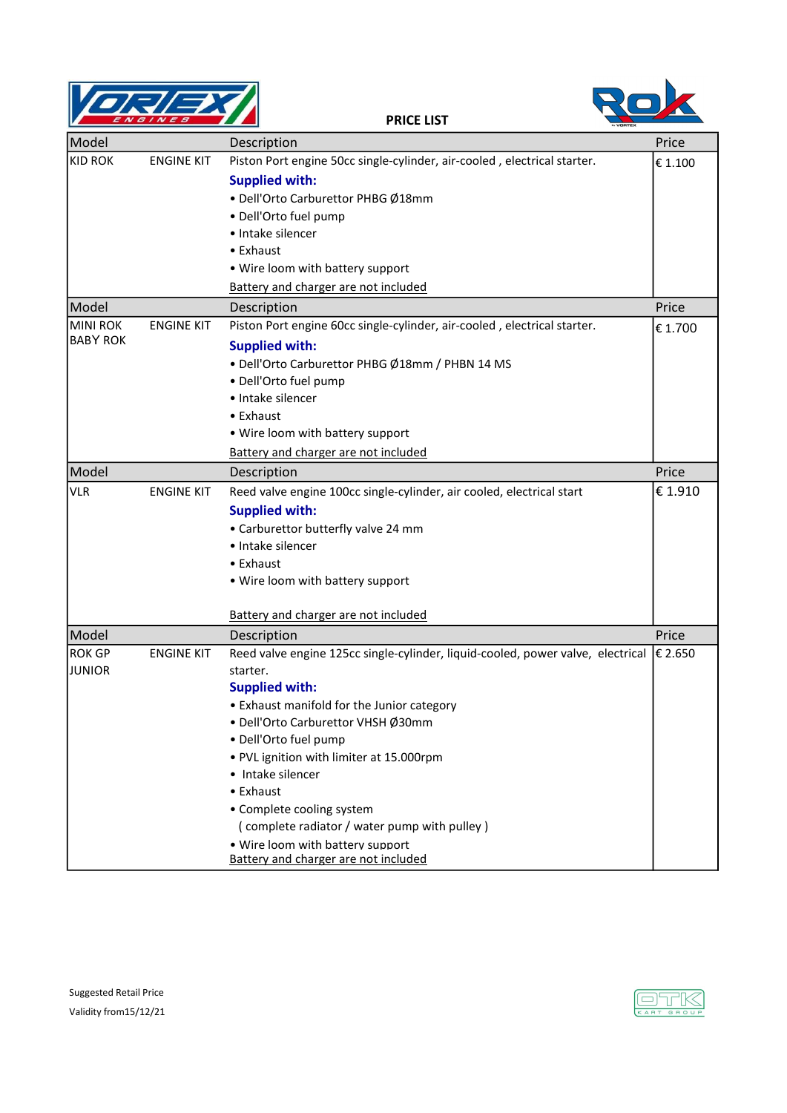

RO

|                 |                   | ** VORTEX                                                                       |         |
|-----------------|-------------------|---------------------------------------------------------------------------------|---------|
| Model           |                   | Description                                                                     | Price   |
| <b>KID ROK</b>  | <b>ENGINE KIT</b> | Piston Port engine 50cc single-cylinder, air-cooled, electrical starter.        | € 1.100 |
|                 |                   | <b>Supplied with:</b>                                                           |         |
|                 |                   | · Dell'Orto Carburettor PHBG Ø18mm                                              |         |
|                 |                   | · Dell'Orto fuel pump                                                           |         |
|                 |                   | • Intake silencer                                                               |         |
|                 |                   | • Exhaust                                                                       |         |
|                 |                   | . Wire loom with battery support                                                |         |
|                 |                   | Battery and charger are not included                                            |         |
| Model           |                   | Description                                                                     | Price   |
| <b>MINI ROK</b> | <b>ENGINE KIT</b> | Piston Port engine 60cc single-cylinder, air-cooled, electrical starter.        | € 1.700 |
| <b>BABY ROK</b> |                   | <b>Supplied with:</b>                                                           |         |
|                 |                   | · Dell'Orto Carburettor PHBG Ø18mm / PHBN 14 MS                                 |         |
|                 |                   | · Dell'Orto fuel pump                                                           |         |
|                 |                   | · Intake silencer                                                               |         |
|                 |                   | • Exhaust                                                                       |         |
|                 |                   | . Wire loom with battery support                                                |         |
|                 |                   | Battery and charger are not included                                            |         |
| Model           |                   | Description                                                                     | Price   |
| <b>VLR</b>      | <b>ENGINE KIT</b> | Reed valve engine 100cc single-cylinder, air cooled, electrical start           | € 1.910 |
|                 |                   | <b>Supplied with:</b>                                                           |         |
|                 |                   | • Carburettor butterfly valve 24 mm                                             |         |
|                 |                   | • Intake silencer                                                               |         |
|                 |                   | • Exhaust                                                                       |         |
|                 |                   | . Wire loom with battery support                                                |         |
|                 |                   |                                                                                 |         |
|                 |                   | Battery and charger are not included                                            |         |
| Model           |                   | Description                                                                     | Price   |
| <b>ROK GP</b>   | <b>ENGINE KIT</b> | Reed valve engine 125cc single-cylinder, liquid-cooled, power valve, electrical | € 2.650 |
| <b>JUNIOR</b>   |                   | starter.                                                                        |         |
|                 |                   | <b>Supplied with:</b>                                                           |         |
|                 |                   | • Exhaust manifold for the Junior category                                      |         |
|                 |                   | · Dell'Orto Carburettor VHSH Ø30mm                                              |         |
|                 |                   | · Dell'Orto fuel pump                                                           |         |
|                 |                   | . PVL ignition with limiter at 15.000rpm                                        |         |
|                 |                   | • Intake silencer                                                               |         |
|                 |                   | • Exhaust                                                                       |         |
|                 |                   | • Complete cooling system                                                       |         |
|                 |                   | (complete radiator / water pump with pulley)                                    |         |
|                 |                   | . Wire loom with battery support                                                |         |
|                 |                   | Battery and charger are not included                                            |         |